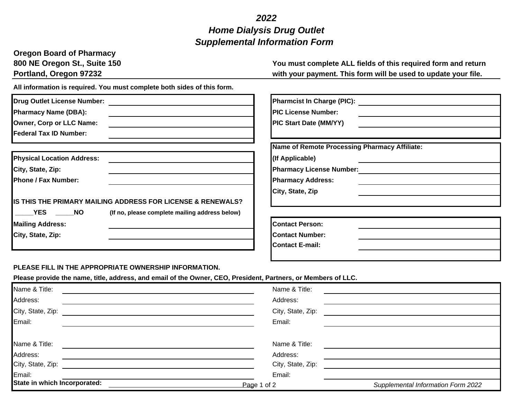## *Supplemental Information Form 2022 Home Dialysis Drug Outlet*

## **Oregon Board of Pharmacy**

**800 NE Oregon St., Suite 150 You must complete ALL fields of this required form and return** with your payment. This form will be used to update your file.

**All information is required. You must complete both sides of this form.** 

| <b>Drug Outlet License Number:</b><br><b>Pharmacy Name (DBA):</b><br>Owner, Corp or LLC Name:<br><b>Federal Tax ID Number:</b> |                                                             | <b>Pharmcist In Charge (PIC):</b><br><b>PIC License Number:</b><br><b>PIC Start Date (MM/YY)</b> |
|--------------------------------------------------------------------------------------------------------------------------------|-------------------------------------------------------------|--------------------------------------------------------------------------------------------------|
|                                                                                                                                |                                                             | Name of Remote Processing Pharmacy Affiliate:                                                    |
| <b>Physical Location Address:</b>                                                                                              |                                                             | (If Applicable)                                                                                  |
| City, State, Zip:                                                                                                              |                                                             | <b>Pharmacy License Number:</b>                                                                  |
| <b>IPhone / Fax Number:</b>                                                                                                    |                                                             | <b>Pharmacy Address:</b>                                                                         |
|                                                                                                                                |                                                             | City, State, Zip                                                                                 |
|                                                                                                                                | IS THIS THE PRIMARY MAILING ADDRESS FOR LICENSE & RENEWALS? |                                                                                                  |
| YES NO                                                                                                                         | (If no, please complete mailing address below)              |                                                                                                  |
| <b>Mailing Address:</b>                                                                                                        |                                                             | <b>Contact Person:</b>                                                                           |
| City, State, Zip:                                                                                                              |                                                             | <b>Contact Number:</b>                                                                           |
|                                                                                                                                |                                                             | <b>Contact E-mail:</b>                                                                           |
|                                                                                                                                |                                                             |                                                                                                  |

## **PLEASE FILL IN THE APPROPRIATE OWNERSHIP INFORMATION.**

**Please provide the name, title, address, and email of the Owner, CEO, President, Partners, or Members of LLC.**

| Name & Title:                | Name & Title:     |                                    |
|------------------------------|-------------------|------------------------------------|
| Address:                     | Address:          |                                    |
| City, State, Zip:            | City, State, Zip: |                                    |
| Email:                       | Email:            |                                    |
|                              |                   |                                    |
| Name & Title:                | Name & Title:     |                                    |
| Address:                     | Address:          |                                    |
| City, State, Zip:            | City, State, Zip: |                                    |
| Email:                       | Email:            |                                    |
| State in which Incorporated: | Page 1 of 2       | Supplemental Information Form 2022 |